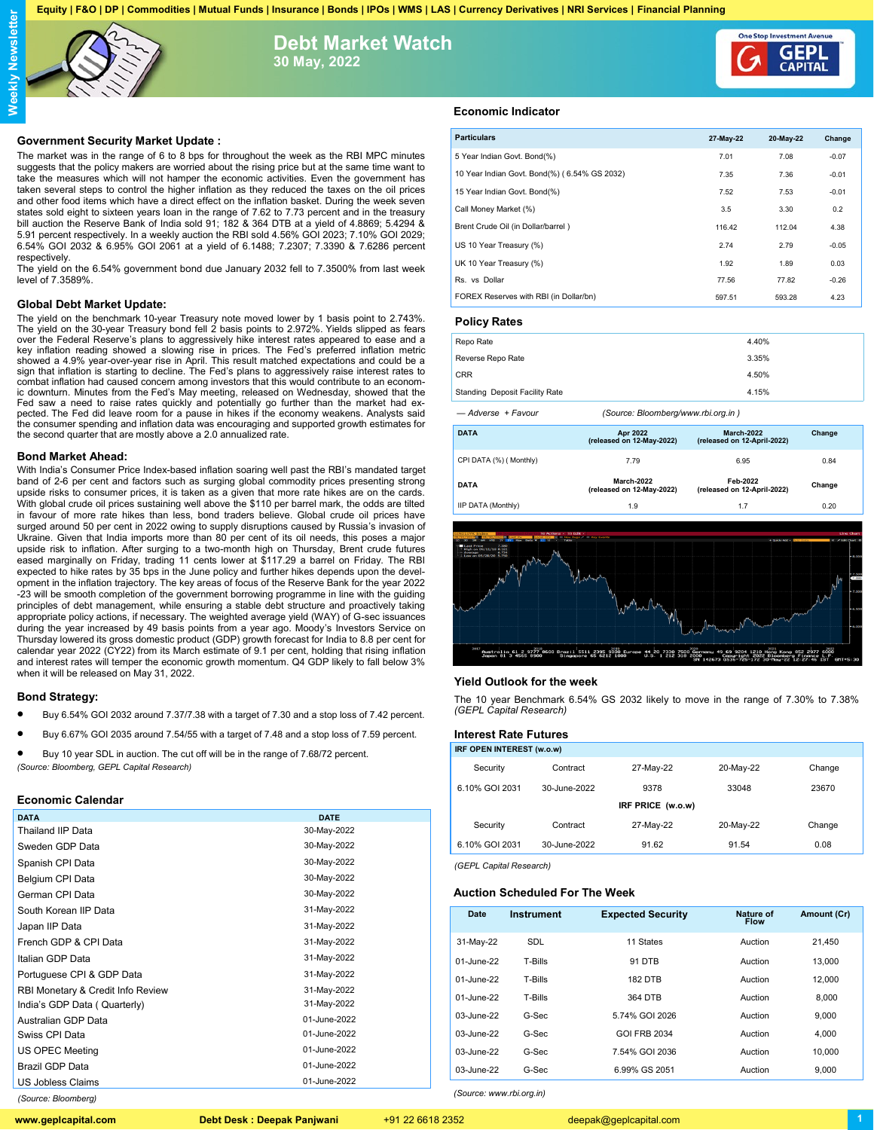**Equity | F&O | DP | Commodities | Mutual Funds | Insurance | Bonds | IPOs | WMS | LAS | Currency Derivatives | NRI Services | Financial Planning**



# **Debt Market Watch 30 May, 2022**



## **Government Security Market Update :**

The market was in the range of 6 to 8 bps for throughout the week as the RBI MPC minutes suggests that the policy makers are worried about the rising price but at the same time want to take the measures which will not hamper the economic activities. Even the government has taken several steps to control the higher inflation as they reduced the taxes on the oil prices and other food items which have a direct effect on the inflation basket. During the week seven states sold eight to sixteen years loan in the range of 7.62 to 7.73 percent and in the treasury bill auction the Reserve Bank of India sold 91; 182 & 364 DTB at a yield of 4.8869; 5.4294 & 5.91 percent respectively. In a weekly auction the RBI sold 4.56% GOI 2023; 7.10% GOI 2029; 6.54% GOI 2032 & 6.95% GOI 2061 at a yield of 6.1488; 7.2307; 7.3390 & 7.6286 percent respectively.

The yield on the 6.54% government bond due January 2032 fell to 7.3500% from last week level of 7.3589%.

## **Global Debt Market Update:**

The yield on the benchmark 10-year Treasury note moved lower by 1 basis point to 2.743%.<br>The yield on the 30-year Treasury bond fell 2 basis points to 2.972%. Yields slipped as fears<br>over the Federal Reserve's plans to agg key inflation reading showed a slowing rise in prices. The Fed's preferred inflation metric showed a 4.9% year-over-year rise in April. This result matched expectations and could be a sign that inflation is starting to decline. The Fed's plans to aggressively raise interest rates to combat inflation had caused concern among investors that this would contribute to an econom-ic downturn. Minutes from the Fed's May meeting, released on Wednesday, showed that the Fed saw a need to raise rates quickly and potentially go further than the market had expected. The Fed did leave room for a pause in hikes if the economy weakens. Analysts said the consumer spending and inflation data was encouraging and supported growth estimates for the second quarter that are mostly above a 2.0 annualized rate.

#### **Bond Market Ahead:**

With India's Consumer Price Index-based inflation soaring well past the RBI's mandated target band of 2-6 per cent and factors such as surging global commodity prices presenting strong upside risks to consumer prices, it is taken as a given that more rate hikes are on the cards. With global crude oil prices sustaining well above the \$110 per barrel mark, the odds are tilted in favour of more rate hikes than less, bond traders believe. Global crude oil prices have surged around 50 per cent in 2022 owing to supply disruptions caused by Russia's invasion of Ukraine. Given that India imports more than 80 per cent of its oil needs, this poses a major upside risk to inflation. After surging to a two-month high on Thursday, Brent crude futures eased marginally on Friday, trading 11 cents lower at \$117.29 a barrel on Friday. The RBI expected to hike rates by 35 bps in the June policy and further hikes depends upon the development in the inflation trajectory. The key areas of focus of the Reserve Bank for the year 2022 -23 will be smooth completion of the government borrowing programme in line with the guiding principles of debt management, while ensuring a stable debt structure and proactively taking appropriate policy actions, if necessary. The weighted average yield (WAY) of G-sec issuances during the year increased by 49 basis points from a year ago. Moody's Investors Service on Thursday lowered its gross domestic product (GDP) growth forecast for India to 8.8 per cent for calendar year 2022 (CY22) from its March estimate of 9.1 per cent, holding that rising inflation and interest rates will temper the economic growth momentum. Q4 GDP likely to fall below 3% when it will be released on May 31, 2022.

## **Bond Strategy:**

- Buy 6.54% GOI 2032 around 7.37/7.38 with a target of 7.30 and a stop loss of 7.42 percent.
- Buy 6.67% GOI 2035 around 7.54/55 with a target of 7.48 and a stop loss of 7.59 percent.

 Buy 10 year SDL in auction. The cut off will be in the range of 7.68/72 percent. *(Source: Bloomberg, GEPL Capital Research)*

## **Economic Calendar**

| <b>DATE</b>  |
|--------------|
| 30-May-2022  |
| 30-May-2022  |
| 30-May-2022  |
| 30-May-2022  |
| 30-May-2022  |
| 31-May-2022  |
| 31-May-2022  |
| 31-May-2022  |
| 31-May-2022  |
| 31-May-2022  |
| 31-May-2022  |
| 31-May-2022  |
| 01-June-2022 |
| 01-June-2022 |
| 01-June-2022 |
| 01-June-2022 |
| 01-June-2022 |
|              |

## **Economic Indicator**

| <b>Particulars</b>                           | 27-May-22 | 20-May-22 | Change  |  |
|----------------------------------------------|-----------|-----------|---------|--|
| 5 Year Indian Govt. Bond(%)                  | 7.01      | 7.08      | $-0.07$ |  |
| 10 Year Indian Govt. Bond(%) (6.54% GS 2032) | 7.35      | 7.36      | $-0.01$ |  |
| 15 Year Indian Govt. Bond(%)                 | 7.52      | 7.53      | $-0.01$ |  |
| Call Money Market (%)                        | 3.5       | 3.30      | 0.2     |  |
| Brent Crude Oil (in Dollar/barrel)           | 116.42    | 112.04    | 4.38    |  |
| US 10 Year Treasury (%)                      | 2.74      | 2.79      | $-0.05$ |  |
| UK 10 Year Treasury (%)                      | 1.92      | 1.89      | 0.03    |  |
| Rs. vs Dollar                                | 77.56     | 77.82     | $-0.26$ |  |
| FOREX Reserves with RBI (in Dollar/bn)       | 597.51    | 593.28    | 4.23    |  |
|                                              |           |           |         |  |

## **Policy Rates**

| Repo Rate                             | 4.40% |
|---------------------------------------|-------|
| Reverse Repo Rate                     | 3.35% |
| <b>CRR</b>                            | 4.50% |
| <b>Standing Deposit Facility Rate</b> | 4.15% |

*— Adverse + Favour (Source: Bloomberg/www.rbi.org.in )*

| <b>DATA</b>             | <b>Apr 2022</b><br>(released on 12-May-2022) | <b>March-2022</b><br>(released on 12-April-2022) | Change |  |
|-------------------------|----------------------------------------------|--------------------------------------------------|--------|--|
| CPI DATA (%) ( Monthly) | 7.79                                         | 6.95                                             | 0.84   |  |
| <b>DATA</b>             | March-2022<br>(released on 12-May-2022)      | Feb-2022<br>(released on 12-April-2022)          | Change |  |
| IIP DATA (Monthly)      | 1.9                                          | 1.7                                              | 0.20   |  |



## **Yield Outlook for the week**

The 10 year Benchmark 6.54% GS 2032 likely to move in the range of 7.30% to 7.38% *(GEPL Capital Research)*

## **Interest Rate Futures**

| IRF OPEN INTEREST (w.o.w) |              |           |           |        |  |
|---------------------------|--------------|-----------|-----------|--------|--|
| Security                  | Contract     | 27-May-22 | 20-May-22 | Change |  |
| 6.10% GOI 2031            | 30-June-2022 | 9378      | 33048     | 23670  |  |
| IRF PRICE (w.o.w)         |              |           |           |        |  |
| Security                  | Contract     | 27-May-22 | 20-May-22 | Change |  |
| 6.10% GOI 2031            | 30-June-2022 | 91.62     | 91.54     | 0.08   |  |
|                           |              |           |           |        |  |

*(GEPL Capital Research)*

*(Source: www.rbi.org.in)*

## **Auction Scheduled For The Week**

| Date       | <b>Instrument</b> | <b>Expected Security</b> | Nature of<br><b>Flow</b> | Amount (Cr) |
|------------|-------------------|--------------------------|--------------------------|-------------|
| 31-May-22  | <b>SDL</b>        | 11 States                | Auction                  | 21.450      |
| 01-June-22 | T-Bills           | <b>91 DTB</b>            | Auction                  | 13.000      |
| 01-June-22 | T-Bills           | <b>182 DTB</b>           | Auction                  | 12.000      |
| 01-June-22 | T-Bills           | 364 DTB                  | Auction                  | 8.000       |
| 03-June-22 | G-Sec             | 5.74% GOI 2026           | Auction                  | 9.000       |
| 03-June-22 | G-Sec             | <b>GOI FRB 2034</b>      | Auction                  | 4.000       |
| 03-June-22 | G-Sec             | 7.54% GOI 2036           | Auction                  | 10.000      |
| 03-June-22 | G-Sec             | 6.99% GS 2051            | Auction                  | 9.000       |

*(Source: Bloomberg)*

**www.geplcapital.com Debt Desk : Deepak Panjwani** +91 22 6618 2352 deepak@geplcapital.com